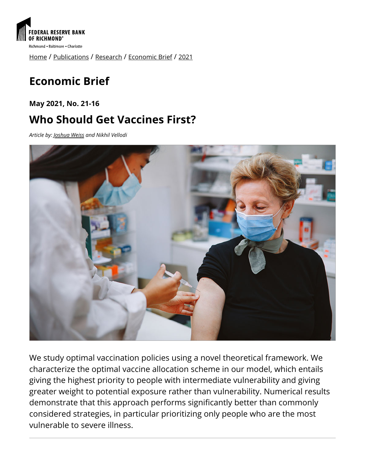

[Home](https://www.richmondfed.org/) / [Publications](https://www.richmondfed.org/publications) / [Research](https://www.richmondfed.org/publications/research) / [Economic Brief](https://www.richmondfed.org/publications/research/economic_brief) / [2021](https://www.richmondfed.org/publications/research/economic_brief/2021)

# **Economic Brief**

**May 2021, No. 21-16**

## **Who Should Get Vaccines First?**

*Article by: [Joshua Weiss](https://www.richmondfed.org/research/people/weiss) and Nikhil Vellodi*



We study optimal vaccination policies using a novel theoretical framework. We characterize the optimal vaccine allocation scheme in our model, which entails giving the highest priority to people with intermediate vulnerability and giving greater weight to potential exposure rather than vulnerability. Numerical results demonstrate that this approach performs significantly better than commonly considered strategies, in particular prioritizing only people who are the most vulnerable to severe illness.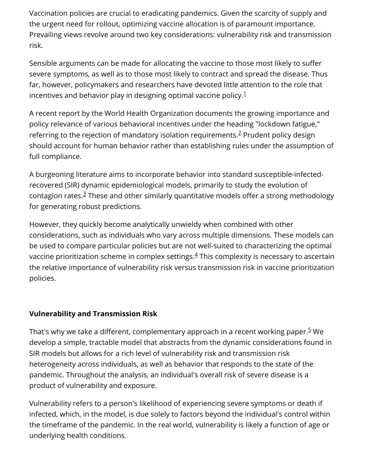Vaccination policies are crucial to eradicating pandemics. Given the scarcity of supply and the urgent need for rollout, optimizing vaccine allocation is of paramount importance. Prevailing views revolve around two key considerations: vulnerability risk and transmission risk.

Sensible arguments can be made for allocating the vaccine to those most likely to suffer severe symptoms, as well as to those most likely to contract and spread the disease. Thus far, however, policymakers and researchers have devoted little attention to the role that incentives and behavior play in designing optimal vaccine policy. $^1$  $^1$ 

A recent report by the World Health Organization documents the growing importance and policy relevance of various behavioral incentives under the heading "lockdown fatigue," referring to the rejection of mandatory isolation requirements. $2$  Prudent policy design should account for human behavior rather than establishing rules under the assumption of full compliance.

A burgeoning literature aims to incorporate behavior into standard susceptible-infectedrecovered (SIR) dynamic epidemiological models, primarily to study the evolution of contagion rates.<sup>3</sup> These and other similarly quantitative models offer a strong methodology for generating robust predictions.

However, they quickly become analytically unwieldy when combined with other considerations, such as individuals who vary across multiple dimensions. These models can be used to compare particular policies but are not well-suited to characterizing the optimal vaccine prioritization scheme in complex settings. $\frac{4}{3}$  This complexity is necessary to ascertain the relative importance of vulnerability risk versus transmission risk in vaccine prioritization policies.

## **Vulnerability and Transmission Risk**

That's why we take a different, complementary approach in a recent working paper.<sup>5</sup> We develop a simple, tractable model that abstracts from the dynamic considerations found in SIR models but allows for a rich level of vulnerability risk and transmission risk heterogeneity across individuals, as well as behavior that responds to the state of the pandemic. Throughout the analysis, an individual's overall risk of severe disease is a product of vulnerability and exposure.

Vulnerability refers to a person's likelihood of experiencing severe symptoms or death if infected, which, in the model, is due solely to factors beyond the individual's control within the timeframe of the pandemic. In the real world, vulnerability is likely a function of age or underlying health conditions.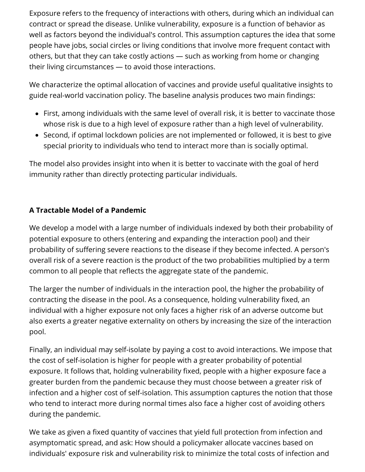Exposure refers to the frequency of interactions with others, during which an individual can contract or spread the disease. Unlike vulnerability, exposure is a function of behavior as well as factors beyond the individual's control. This assumption captures the idea that some people have jobs, social circles or living conditions that involve more frequent contact with others, but that they can take costly actions — such as working from home or changing their living circumstances — to avoid those interactions.

We characterize the optimal allocation of vaccines and provide useful qualitative insights to guide real-world vaccination policy. The baseline analysis produces two main findings:

- First, among individuals with the same level of overall risk, it is better to vaccinate those whose risk is due to a high level of exposure rather than a high level of vulnerability.
- Second, if optimal lockdown policies are not implemented or followed, it is best to give special priority to individuals who tend to interact more than is socially optimal.

The model also provides insight into when it is better to vaccinate with the goal of herd immunity rather than directly protecting particular individuals.

#### **A Tractable Model of a Pandemic**

We develop a model with a large number of individuals indexed by both their probability of potential exposure to others (entering and expanding the interaction pool) and their probability of suffering severe reactions to the disease if they become infected. A person's overall risk of a severe reaction is the product of the two probabilities multiplied by a term common to all people that reflects the aggregate state of the pandemic.

The larger the number of individuals in the interaction pool, the higher the probability of contracting the disease in the pool. As a consequence, holding vulnerability fixed, an individual with a higher exposure not only faces a higher risk of an adverse outcome but also exerts a greater negative externality on others by increasing the size of the interaction pool.

Finally, an individual may self-isolate by paying a cost to avoid interactions. We impose that the cost of self-isolation is higher for people with a greater probability of potential exposure. It follows that, holding vulnerability fixed, people with a higher exposure face a greater burden from the pandemic because they must choose between a greater risk of infection and a higher cost of self-isolation. This assumption captures the notion that those who tend to interact more during normal times also face a higher cost of avoiding others during the pandemic.

We take as given a fixed quantity of vaccines that yield full protection from infection and asymptomatic spread, and ask: How should a policymaker allocate vaccines based on individuals' exposure risk and vulnerability risk to minimize the total costs of infection and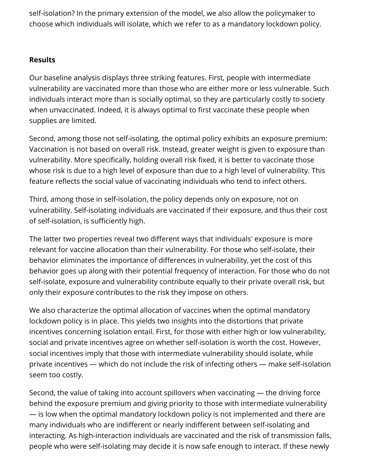self-isolation? In the primary extension of the model, we also allow the policymaker to choose which individuals will isolate, which we refer to as a mandatory lockdown policy.

#### **Results**

Our baseline analysis displays three striking features. First, people with intermediate vulnerability are vaccinated more than those who are either more or less vulnerable. Such individuals interact more than is socially optimal, so they are particularly costly to society when unvaccinated. Indeed, it is always optimal to first vaccinate these people when supplies are limited.

Second, among those not self-isolating, the optimal policy exhibits an exposure premium: Vaccination is not based on overall risk. Instead, greater weight is given to exposure than vulnerability. More specifically, holding overall risk fixed, it is better to vaccinate those whose risk is due to a high level of exposure than due to a high level of vulnerability. This feature reflects the social value of vaccinating individuals who tend to infect others.

Third, among those in self-isolation, the policy depends only on exposure, not on vulnerability. Self-isolating individuals are vaccinated if their exposure, and thus their cost of self-isolation, is sufficiently high.

The latter two properties reveal two different ways that individuals' exposure is more relevant for vaccine allocation than their vulnerability. For those who self-isolate, their behavior eliminates the importance of differences in vulnerability, yet the cost of this behavior goes up along with their potential frequency of interaction. For those who do not self-isolate, exposure and vulnerability contribute equally to their private overall risk, but only their exposure contributes to the risk they impose on others.

We also characterize the optimal allocation of vaccines when the optimal mandatory lockdown policy is in place. This yields two insights into the distortions that private incentives concerning isolation entail. First, for those with either high or low vulnerability, social and private incentives agree on whether self-isolation is worth the cost. However, social incentives imply that those with intermediate vulnerability should isolate, while private incentives — which do not include the risk of infecting others — make self-isolation seem too costly.

Second, the value of taking into account spillovers when vaccinating — the driving force behind the exposure premium and giving priority to those with intermediate vulnerability — is low when the optimal mandatory lockdown policy is not implemented and there are many individuals who are indifferent or nearly indifferent between self-isolating and interacting. As high-interaction individuals are vaccinated and the risk of transmission falls, people who were self-isolating may decide it is now safe enough to interact. If these newly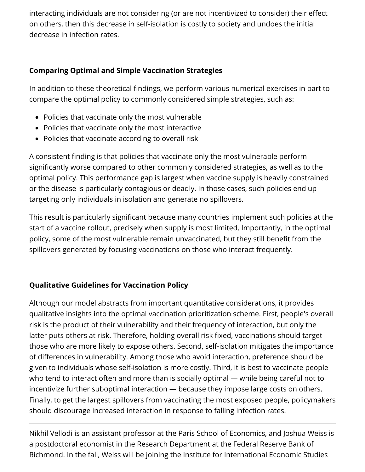interacting individuals are not considering (or are not incentivized to consider) their effect on others, then this decrease in self-isolation is costly to society and undoes the initial decrease in infection rates.

### **Comparing Optimal and Simple Vaccination Strategies**

In addition to these theoretical findings, we perform various numerical exercises in part to compare the optimal policy to commonly considered simple strategies, such as:

- Policies that vaccinate only the most vulnerable
- Policies that vaccinate only the most interactive
- Policies that vaccinate according to overall risk

A consistent finding is that policies that vaccinate only the most vulnerable perform significantly worse compared to other commonly considered strategies, as well as to the optimal policy. This performance gap is largest when vaccine supply is heavily constrained or the disease is particularly contagious or deadly. In those cases, such policies end up targeting only individuals in isolation and generate no spillovers.

This result is particularly significant because many countries implement such policies at the start of a vaccine rollout, precisely when supply is most limited. Importantly, in the optimal policy, some of the most vulnerable remain unvaccinated, but they still benefit from the spillovers generated by focusing vaccinations on those who interact frequently.

## **Qualitative Guidelines for Vaccination Policy**

Although our model abstracts from important quantitative considerations, it provides qualitative insights into the optimal vaccination prioritization scheme. First, people's overall risk is the product of their vulnerability and their frequency of interaction, but only the latter puts others at risk. Therefore, holding overall risk fixed, vaccinations should target those who are more likely to expose others. Second, self-isolation mitigates the importance of differences in vulnerability. Among those who avoid interaction, preference should be given to individuals whose self-isolation is more costly. Third, it is best to vaccinate people who tend to interact often and more than is socially optimal — while being careful not to incentivize further suboptimal interaction — because they impose large costs on others. Finally, to get the largest spillovers from vaccinating the most exposed people, policymakers should discourage increased interaction in response to falling infection rates.

Nikhil Vellodi is an assistant professor at the Paris School of Economics, and Joshua Weiss is a postdoctoral economist in the Research Department at the Federal Reserve Bank of Richmond. In the fall, Weiss will be joining the Institute for International Economic Studies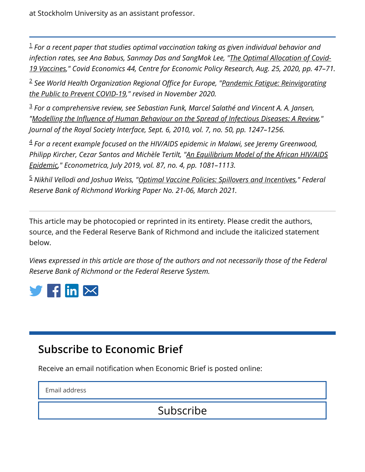at Stockholm University as an assistant professor.

<span id="page-5-0"></span>*For a recent paper that studies optimal vaccination taking as given individual behavior and* 1 *[infection rates, see Ana Babus, Sanmay Das and SangMok Lee, "The Optimal Allocation of Covid-](https://cepr.org/active/publications/discussion_papers/dp.php?dpno=15329)19 Vaccines," Covid Economics 44, Centre for Economic Policy Research, Aug. 25, 2020, pp. 47–71.*

<span id="page-5-1"></span><sup>2</sup> See World Health Organization Regional Office for Europe, "<u>Pandemic Fatigue: Reinvigorating</u> *the Public to Prevent COVID-19," revised in November 2020.*

<span id="page-5-2"></span>*For a comprehensive review, see Sebastian Funk, Marcel Salathé and Vincent A. A. Jansen,* 3 "Modelling the Influence of Human Behaviour on the Spread of Infectious Diseases: A Review," *Journal of the Royal Society Interface, Sept. 6, 2010, vol. 7, no. 50, pp. 1247–1256.*

<span id="page-5-3"></span>*For a recent example focused on the HIV/AIDS epidemic in Malawi, see Jeremy Greenwood,* 4 *[Philipp Kircher, Cezar Santos and Michèle Tertilt, "An Equilibrium Model of the African HIV/AIDS](https://doi.org/10.3982/ECTA11530) Epidemic," Econometrica, July 2019, vol. 87, no. 4, pp. 1081–1113.*

<span id="page-5-4"></span>*Nikhil Vellodi and Joshua Weiss, "[Optimal Vaccine Policies: Spillovers and Incentives](https://www.richmondfed.org/publications/research/working_papers/2021/wp_21-06)," Federal* 5*Reserve Bank of Richmond Working Paper No. 21-06, March 2021.*

This article may be photocopied or reprinted in its entirety. Please credit the authors, source, and the Federal Reserve Bank of Richmond and include the italicized statement below.

*Views expressed in this article are those of the authors and not necessarily those of the Federal Reserve Bank of Richmond or the Federal Reserve System.*



## **Subscribe to Economic Brief**

Receive an email notification when Economic Brief is posted online:

Email address

Subscribe